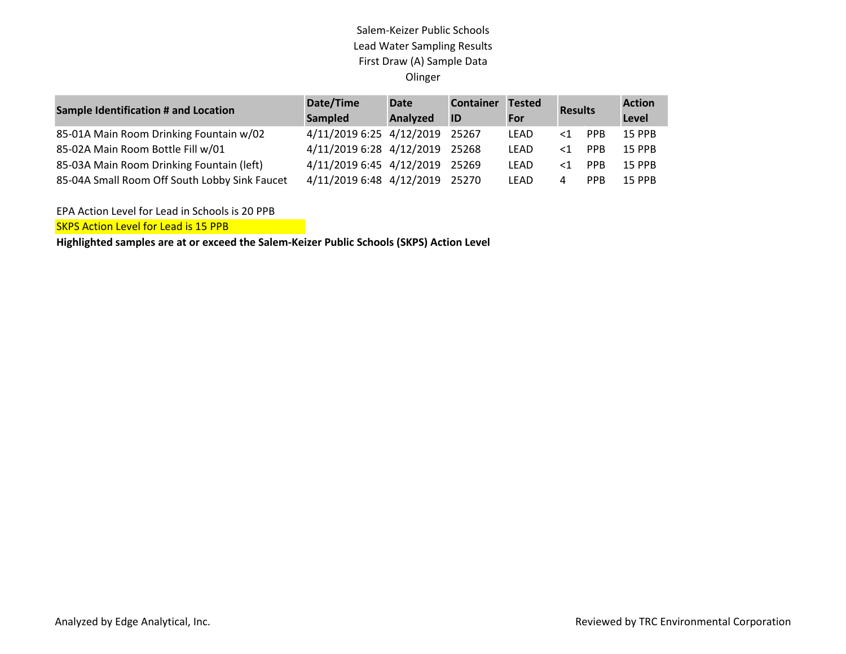## Salem-Keizer Public Schools Lead Water Sampling Results First Draw (A) Sample Data Olinger

| <b>Sample Identification # and Location</b>   | Date/Time<br>Sampled           | <b>Date</b><br>Analyzed | <b>Container</b><br>ID | <b>Tested</b><br>For | <b>Results</b> |            | <b>Action</b><br>Level |
|-----------------------------------------------|--------------------------------|-------------------------|------------------------|----------------------|----------------|------------|------------------------|
| 85-01A Main Room Drinking Fountain w/02       | 4/11/2019 6:25 4/12/2019       |                         | 25267                  | LEAD                 | ${<}1$         | <b>PPB</b> | <b>15 PPB</b>          |
| 85-02A Main Room Bottle Fill w/01             | 4/11/2019 6:28 4/12/2019 25268 |                         |                        | LEAD                 | $\leq$ 1       | <b>PPB</b> | 15 PPB                 |
| 85-03A Main Room Drinking Fountain (left)     | 4/11/2019 6:45 4/12/2019 25269 |                         |                        | LEAD                 | $<$ 1          | <b>PPB</b> | <b>15 PPB</b>          |
| 85-04A Small Room Off South Lobby Sink Faucet | 4/11/2019 6:48 4/12/2019 25270 |                         |                        | LEAD                 | 4              | <b>PPB</b> | <b>15 PPB</b>          |

EPA Action Level for Lead in Schools is 20 PPB

SKPS Action Level for Lead is 15 PPB

**Highlighted samples are at or exceed the Salem-Keizer Public Schools (SKPS) Action Level**